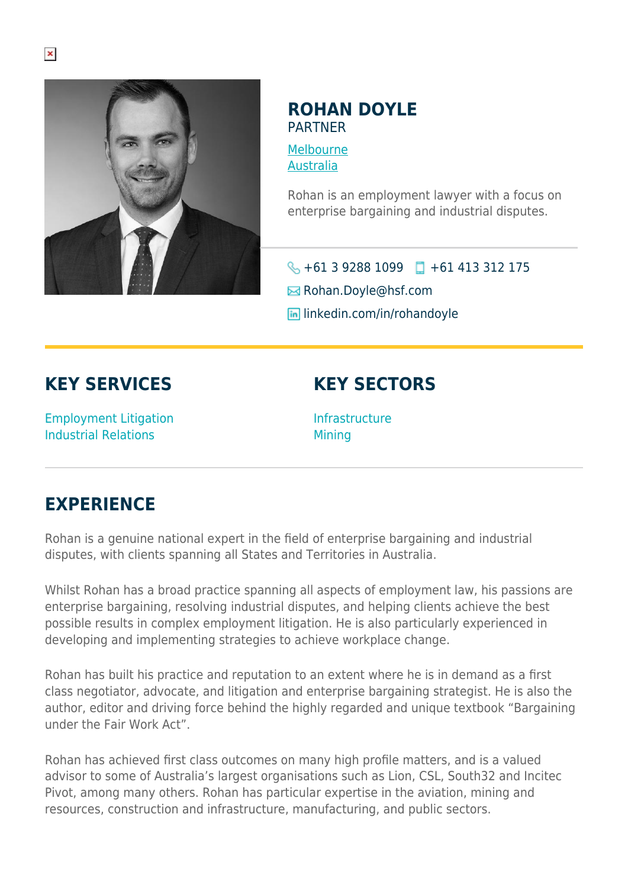

## **ROHAN DOYLE PARTNER**

[Melbourne](https://www.herbertsmithfreehills.com/lang-ru/where-we-work/melbourne) [Australia](https://www.herbertsmithfreehills.com/lang-ru/where-we-work/australia)

Rohan is an employment lawyer with a focus on enterprise bargaining and industrial disputes.

 $\big\{\}$  +61 3 9288 1099  $\Box$  +61 413 312 175

**E** Rohan.Doyle@hsf.com

**in** linkedin.com/in/rohandoyle

## **KEY SERVICES**

Employment Litigation Industrial Relations

## **KEY SECTORS**

Infrastructure **Mining** 

## **EXPERIENCE**

Rohan is a genuine national expert in the field of enterprise bargaining and industrial disputes, with clients spanning all States and Territories in Australia.

Whilst Rohan has a broad practice spanning all aspects of employment law, his passions are enterprise bargaining, resolving industrial disputes, and helping clients achieve the best possible results in complex employment litigation. He is also particularly experienced in developing and implementing strategies to achieve workplace change.

Rohan has built his practice and reputation to an extent where he is in demand as a first class negotiator, advocate, and litigation and enterprise bargaining strategist. He is also the author, editor and driving force behind the highly regarded and unique textbook "Bargaining under the Fair Work Act".

Rohan has achieved first class outcomes on many high profile matters, and is a valued advisor to some of Australia's largest organisations such as Lion, CSL, South32 and Incitec Pivot, among many others. Rohan has particular expertise in the aviation, mining and resources, construction and infrastructure, manufacturing, and public sectors.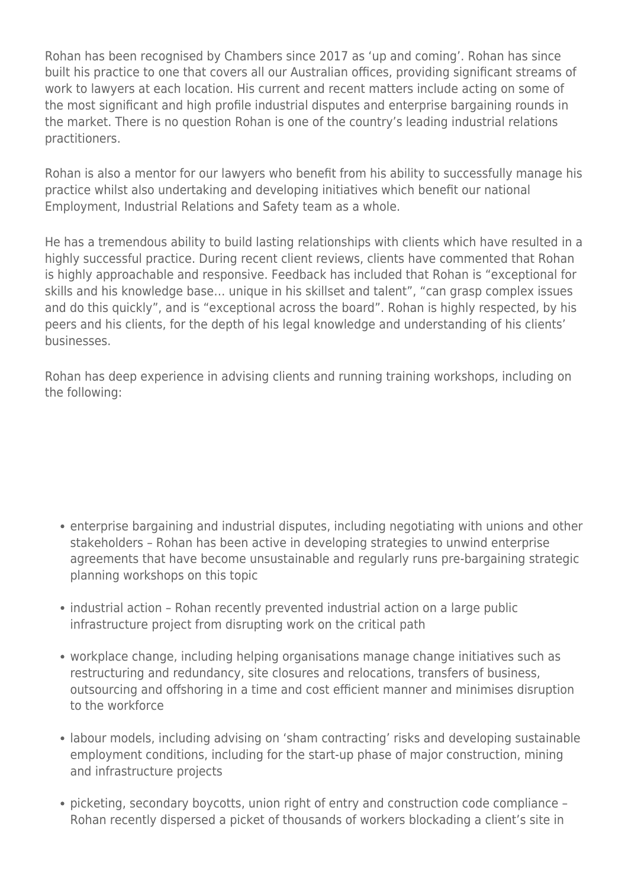Rohan has been recognised by Chambers since 2017 as 'up and coming'. Rohan has since built his practice to one that covers all our Australian offices, providing significant streams of work to lawyers at each location. His current and recent matters include acting on some of the most significant and high profile industrial disputes and enterprise bargaining rounds in the market. There is no question Rohan is one of the country's leading industrial relations practitioners.

Rohan is also a mentor for our lawyers who benefit from his ability to successfully manage his practice whilst also undertaking and developing initiatives which benefit our national Employment, Industrial Relations and Safety team as a whole.

He has a tremendous ability to build lasting relationships with clients which have resulted in a highly successful practice. During recent client reviews, clients have commented that Rohan is highly approachable and responsive. Feedback has included that Rohan is "exceptional for skills and his knowledge base… unique in his skillset and talent", "can grasp complex issues and do this quickly", and is "exceptional across the board". Rohan is highly respected, by his peers and his clients, for the depth of his legal knowledge and understanding of his clients' businesses.

Rohan has deep experience in advising clients and running training workshops, including on the following:

- enterprise bargaining and industrial disputes, including negotiating with unions and other stakeholders – Rohan has been active in developing strategies to unwind enterprise agreements that have become unsustainable and regularly runs pre-bargaining strategic planning workshops on this topic
- industrial action Rohan recently prevented industrial action on a large public infrastructure project from disrupting work on the critical path
- workplace change, including helping organisations manage change initiatives such as restructuring and redundancy, site closures and relocations, transfers of business, outsourcing and offshoring in a time and cost efficient manner and minimises disruption to the workforce
- labour models, including advising on 'sham contracting' risks and developing sustainable employment conditions, including for the start-up phase of major construction, mining and infrastructure projects
- picketing, secondary boycotts, union right of entry and construction code compliance Rohan recently dispersed a picket of thousands of workers blockading a client's site in